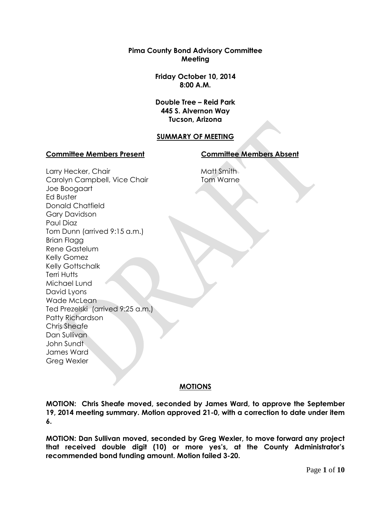**Pima County Bond Advisory Committee Meeting**

> **Friday October 10, 2014 8:00 A.M.**

> **Double Tree – Reid Park 445 S. Alvernon Way Tucson, Arizona**

## **SUMMARY OF MEETING**

#### **Committee Members Present Committee Members Absent**

Larry Hecker, Chair Carolyn Campbell, Vice Chair Joe Boogaart Ed Buster Donald Chatfield Gary Davidson Paul Diaz Tom Dunn (arrived 9:15 a.m.) Brian Flagg Rene Gastelum Kelly Gomez Kelly Gottschalk Terri Hutts Michael Lund David Lyons Wade McLean Ted Prezelski (arrived 9:25 a.m.) Patty Richardson Chris Sheafe Dan Sullivan John Sundt James Ward Greg Wexler

# Matt Smith Tom Warne

## **MOTIONS**

**MOTION: Chris Sheafe moved, seconded by James Ward, to approve the September 19, 2014 meeting summary. Motion approved 21-0, with a correction to date under item 6.**

**MOTION: Dan Sullivan moved, seconded by Greg Wexler, to move forward any project that received double digit (10) or more yes's, at the County Administrator's recommended bond funding amount. Motion failed 3-20.**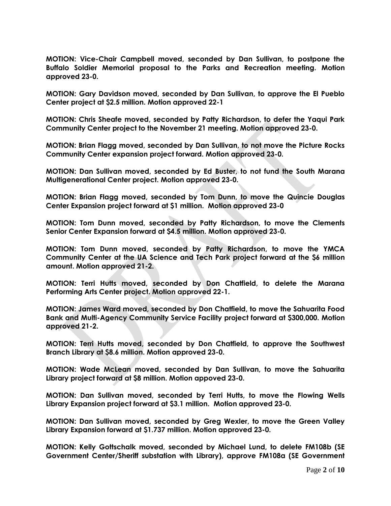**MOTION: Vice-Chair Campbell moved, seconded by Dan Sullivan, to postpone the Buffalo Soldier Memorial proposal to the Parks and Recreation meeting. Motion approved 23-0.**

**MOTION: Gary Davidson moved, seconded by Dan Sullivan, to approve the El Pueblo Center project at \$2.5 million. Motion approved 22-1**

**MOTION: Chris Sheafe moved, seconded by Patty Richardson, to defer the Yaqui Park Community Center project to the November 21 meeting. Motion approved 23-0.** 

**MOTION: Brian Flagg moved, seconded by Dan Sullivan, to not move the Picture Rocks Community Center expansion project forward. Motion approved 23-0.** 

**MOTION: Dan Sullivan moved, seconded by Ed Buster, to not fund the South Marana Multigenerational Center project. Motion approved 23-0.**

**MOTION: Brian Flagg moved, seconded by Tom Dunn, to move the Quincie Douglas Center Expansion project forward at \$1 million. Motion approved 23-0**

**MOTION: Tom Dunn moved, seconded by Patty Richardson, to move the Clements Senior Center Expansion forward at \$4.5 million. Motion approved 23-0.**

**MOTION: Tom Dunn moved, seconded by Patty Richardson, to move the YMCA Community Center at the UA Science and Tech Park project forward at the \$6 million amount. Motion approved 21-2.**

**MOTION: Terri Hutts moved, seconded by Don Chatfield, to delete the Marana Performing Arts Center project. Motion approved 22-1.** 

**MOTION: James Ward moved, seconded by Don Chatfield, to move the Sahuarita Food Bank and Multi-Agency Community Service Facility project forward at \$300,000. Motion approved 21-2.** 

**MOTION: Terri Hutts moved, seconded by Don Chatfield, to approve the Southwest Branch Library at \$8.6 million. Motion approved 23-0.**

**MOTION: Wade McLean moved, seconded by Dan Sullivan, to move the Sahuarita Library project forward at \$8 million. Motion appoved 23-0.**

**MOTION: Dan Sullivan moved, seconded by Terri Hutts, to move the Flowing Wells Library Expansion project forward at \$3.1 million. Motion approved 23-0.**

**MOTION: Dan Sullivan moved, seconded by Greg Wexler, to move the Green Valley Library Expansion forward at \$1.737 million. Motion approved 23-0.**

**MOTION: Kelly Gottschalk moved, seconded by Michael Lund, to delete FM108b (SE Government Center/Sheriff substation with Library), approve FM108a (SE Government**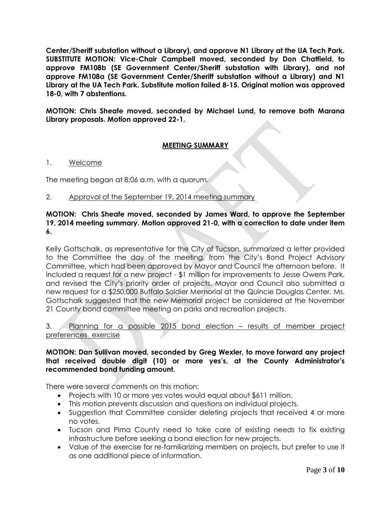**Center/Sheriff substation without a Library), and approve N1 Library at the UA Tech Park. SUBSTITUTE MOTION: Vice-Chair Campbell moved, seconded by Don Chatfield, to approve FM108b (SE Government Center/Sheriff substation with Library), and not approve FM108a (SE Government Center/Sheriff substation without a Library) and N1 Library at the UA Tech Park. Substitute motion failed 8-15. Original motion was approved 18-0, with 7 abstentions.**

**MOTION: Chris Sheafe moved, seconded by Michael Lund, to remove both Marana Library proposals. Motion approved 22-1.** 

## **MEETING SUMMARY**

## 1. Welcome

The meeting began at 8:06 a.m. with a quorum.

2. Approval of the September 19, 2014 meeting summary

## **MOTION: Chris Sheafe moved, seconded by James Ward, to approve the September 19, 2014 meeting summary. Motion approved 21-0, with a correction to date under item 6.**

Kelly Gottschalk, as representative for the City of Tucson, summarized a letter provided to the Committee the day of the meeting, from the City's Bond Project Advisory Committee, which had been approved by Mayor and Council the afternoon before. It included a request for a new project - \$1 million for improvements to Jesse Owens Park, and revised the City's priority order of projects. Mayor and Council also submitted a new request for a \$250,000 Buffalo Soldier Memorial at the Quincie Douglas Center. Ms. Gottschalk suggested that the new Memorial project be considered at the November 21 County bond committee meeting on parks and recreation projects.

3. Planning for a possible 2015 bond election – results of member project preferences exercise

## **MOTION: Dan Sullivan moved, seconded by Greg Wexler, to move forward any project that received double digit (10) or more yes's, at the County Administrator's recommended bond funding amount.**

There were several comments on this motion:

- Projects with 10 or more yes votes would equal about \$611 million.
- This motion prevents discussion and questions on individual projects.
- Suggestion that Committee consider deleting projects that received 4 or more no votes.
- Tucson and Pima County need to take care of existing needs to fix existing infrastructure before seeking a bond election for new projects.
- Value of the exercise for re-familiarizing members on projects, but prefer to use it as one additional piece of information.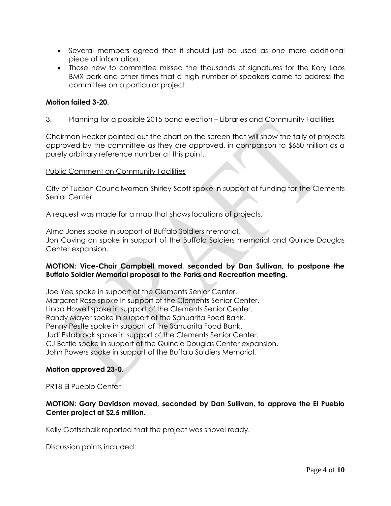- Several members agreed that it should just be used as one more additional piece of information.
- Those new to committee missed the thousands of signatures for the Kory Laos BMX park and other times that a high number of speakers came to address the committee on a particular project.

## **Motion failed 3-20.**

### 3. Planning for a possible 2015 bond election – Libraries and Community Facilities

Chairman Hecker pointed out the chart on the screen that will show the tally of projects approved by the committee as they are approved, in comparison to \$650 million as a purely arbitrary reference number at this point.

#### Public Comment on Community Facilities

City of Tucson Councilwoman Shirley Scott spoke in support of funding for the Clements Senior Center.

A request was made for a map that shows locations of projects.

Alma Jones spoke in support of Buffalo Soldiers memorial. Jon Covington spoke in support of the Buffalo Soldiers memorial and Quince Douglas Center expansion.

### **MOTION: Vice-Chair Campbell moved, seconded by Dan Sullivan, to postpone the Buffalo Soldier Memorial proposal to the Parks and Recreation meeting.**

Joe Yee spoke in support of the Clements Senior Center. Margaret Rose spoke in support of the Clements Senior Center. Linda Howell spoke in support of the Clements Senior Center. Randy Mayer spoke in support of the Sahuarita Food Bank. Penny Pestle spoke in support of the Sahuarita Food Bank. Judi Estabrook spoke in support of the Clements Senior Center. CJ Battle spoke in support of the Quincie Douglas Center expansion. John Powers spoke in support of the Buffalo Soldiers Memorial.

### **Motion approved 23-0.**

### PR18 El Pueblo Center

## **MOTION: Gary Davidson moved, seconded by Dan Sullivan, to approve the El Pueblo Center project at \$2.5 million.**

Kelly Gottschalk reported that the project was shovel ready.

Discussion points included: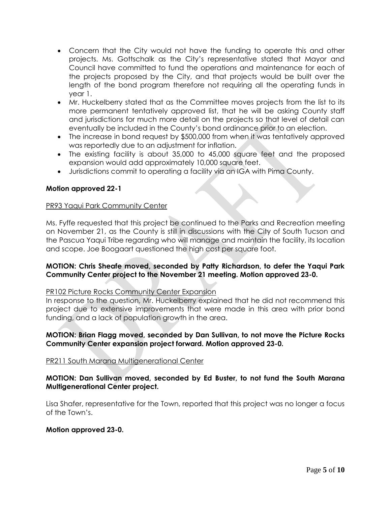- Concern that the City would not have the funding to operate this and other projects. Ms. Gottschalk as the City's representative stated that Mayor and Council have committed to fund the operations and maintenance for each of the projects proposed by the City, and that projects would be built over the length of the bond program therefore not requiring all the operating funds in year 1.
- Mr. Huckelberry stated that as the Committee moves projects from the list to its more permanent tentatively approved list, that he will be asking County staff and jurisdictions for much more detail on the projects so that level of detail can eventually be included in the County's bond ordinance prior to an election.
- The increase in bond request by \$500,000 from when it was tentatively approved was reportedly due to an adjustment for inflation.
- The existing facility is about 35,000 to 45,000 square feet and the proposed expansion would add approximately 10,000 square feet.
- Jurisdictions commit to operating a facility via an IGA with Pima County.

## **Motion approved 22-1**

### PR93 Yaqui Park Community Center

Ms. Fyffe requested that this project be continued to the Parks and Recreation meeting on November 21, as the County is still in discussions with the City of South Tucson and the Pascua Yaqui Tribe regarding who will manage and maintain the facility, its location and scope. Joe Boogaart questioned the high cost per square foot.

### **MOTION: Chris Sheafe moved, seconded by Patty Richardson, to defer the Yaqui Park Community Center project to the November 21 meeting. Motion approved 23-0.**

### PR102 Picture Rocks Community Center Expansion

In response to the question, Mr. Huckelberry explained that he did not recommend this project due to extensive improvements that were made in this area with prior bond funding, and a lack of population growth in the area.

## **MOTION: Brian Flagg moved, seconded by Dan Sullivan, to not move the Picture Rocks Community Center expansion project forward. Motion approved 23-0.**

### PR211 South Marana Multigenerational Center

## **MOTION: Dan Sullivan moved, seconded by Ed Buster, to not fund the South Marana Multigenerational Center project.**

Lisa Shafer, representative for the Town, reported that this project was no longer a focus of the Town's.

### **Motion approved 23-0.**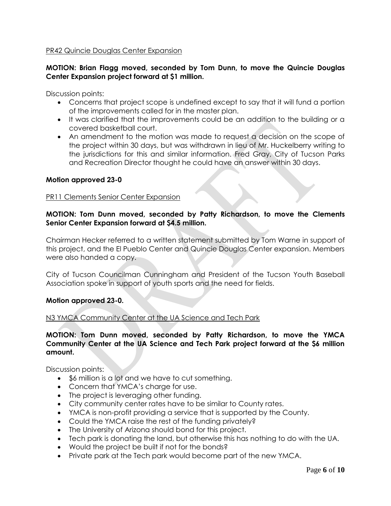## PR42 Quincie Douglas Center Expansion

## **MOTION: Brian Flagg moved, seconded by Tom Dunn, to move the Quincie Douglas Center Expansion project forward at \$1 million.**

Discussion points:

- Concerns that project scope is undefined except to say that it will fund a portion of the improvements called for in the master plan.
- It was clarified that the improvements could be an addition to the building or a covered basketball court.
- An amendment to the motion was made to request a decision on the scope of the project within 30 days, but was withdrawn in lieu of Mr. Huckelberry writing to the jurisdictions for this and similar information. Fred Gray, City of Tucson Parks and Recreation Director thought he could have an answer within 30 days.

### **Motion approved 23-0**

#### PR11 Clements Senior Center Expansion

## **MOTION: Tom Dunn moved, seconded by Patty Richardson, to move the Clements Senior Center Expansion forward at \$4.5 million.**

Chairman Hecker referred to a written statement submitted by Tom Warne in support of this project, and the El Pueblo Center and Quincie Douglas Center expansion. Members were also handed a copy.

City of Tucson Councilman Cunningham and President of the Tucson Youth Baseball Association spoke in support of youth sports and the need for fields.

### **Motion approved 23-0.**

### N3 YMCA Community Center at the UA Science and Tech Park

### **MOTION: Tom Dunn moved, seconded by Patty Richardson, to move the YMCA Community Center at the UA Science and Tech Park project forward at the \$6 million amount.**

Discussion points:

- \$6 million is a lot and we have to cut something.
- Concern that YMCA's charge for use.
- The project is leveraging other funding.
- City community center rates have to be similar to County rates.
- YMCA is non-profit providing a service that is supported by the County.
- Could the YMCA raise the rest of the funding privately?
- The University of Arizona should bond for this project.
- Tech park is donating the land, but otherwise this has nothing to do with the UA.
- Would the project be built if not for the bonds?
- Private park at the Tech park would become part of the new YMCA.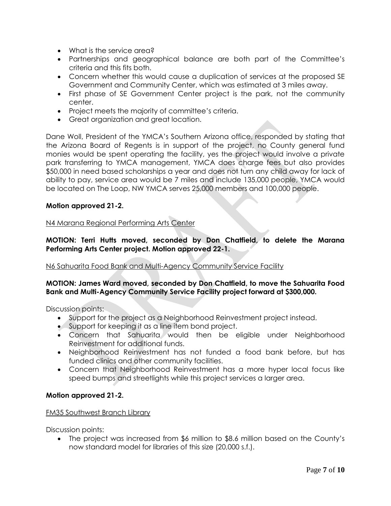- What is the service area?
- Partnerships and geographical balance are both part of the Committee's criteria and this fits both.
- Concern whether this would cause a duplication of services at the proposed SE Government and Community Center, which was estimated at 3 miles away.
- First phase of SE Government Center project is the park, not the community center.
- Project meets the majority of committee's criteria.
- Great organization and great location.

Dane Woll, President of the YMCA's Southern Arizona office, responded by stating that the Arizona Board of Regents is in support of the project, no County general fund monies would be spent operating the facility, yes the project would involve a private park transferring to YMCA management, YMCA does charge fees but also provides \$50,000 in need based scholarships a year and does not turn any child away for lack of ability to pay, service area would be 7 miles and include 135,000 people, YMCA would be located on The Loop, NW YMCA serves 25,000 members and 100,000 people.

### **Motion approved 21-2.**

#### N4 Marana Regional Performing Arts Center

## **MOTION: Terri Hutts moved, seconded by Don Chatfield, to delete the Marana Performing Arts Center project. Motion approved 22-1.**

### N6 Sahuarita Food Bank and Multi-Agency Community Service Facility

### **MOTION: James Ward moved, seconded by Don Chatfield, to move the Sahuarita Food Bank and Multi-Agency Community Service Facility project forward at \$300,000.**

Discussion points:

- Support for the project as a Neighborhood Reinvestment project instead.
- Support for keeping it as a line item bond project.
- Concern that Sahuarita would then be eligible under Neighborhood Reinvestment for additional funds.
- Neighborhood Reinvestment has not funded a food bank before, but has funded clinics and other community facilities.
- Concern that Neighborhood Reinvestment has a more hyper local focus like speed bumps and streetlights while this project services a larger area.

### **Motion approved 21-2.**

### FM35 Southwest Branch Library

Discussion points:

 The project was increased from \$6 million to \$8.6 million based on the County's now standard model for libraries of this size (20,000 s.f.).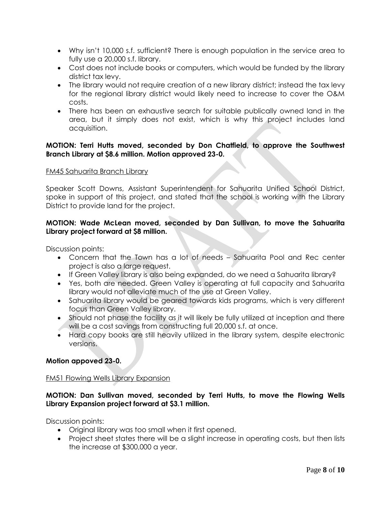- Why isn't 10,000 s.f. sufficient? There is enough population in the service area to fully use a 20,000 s.f. library.
- Cost does not include books or computers, which would be funded by the library district tax levy.
- The library would not require creation of a new library district; instead the tax levy for the regional library district would likely need to increase to cover the O&M costs.
- There has been an exhaustive search for suitable publically owned land in the area, but it simply does not exist, which is why this project includes land acquisition.

## **MOTION: Terri Hutts moved, seconded by Don Chatfield, to approve the Southwest Branch Library at \$8.6 million. Motion approved 23-0.**

### FM45 Sahuarita Branch Library

Speaker Scott Downs, Assistant Superintendent for Sahuarita Unified School District, spoke in support of this project, and stated that the school is working with the Library District to provide land for the project.

## **MOTION: Wade McLean moved, seconded by Dan Sullivan, to move the Sahuarita Library project forward at \$8 million.**

Discussion points:

- Concern that the Town has a lot of needs Sahuarita Pool and Rec center project is also a large request.
- **If Green Valley library is also being expanded, do we need a Sahuarita library?**
- Yes, both are needed. Green Valley is operating at full capacity and Sahuarita library would not alleviate much of the use at Green Valley.
- Sahuarita library would be geared towards kids programs, which is very different focus than Green Valley library.
- Should not phase the facility as it will likely be fully utilized at inception and there will be a cost savings from constructing full 20,000 s.f. at once.
- Hard copy books are still heavily utilized in the library system, despite electronic versions.

## **Motion appoved 23-0.**

## FM51 Flowing Wells Library Expansion

## **MOTION: Dan Sullivan moved, seconded by Terri Hutts, to move the Flowing Wells Library Expansion project forward at \$3.1 million.**

Discussion points:

- Original library was too small when it first opened.
- Project sheet states there will be a slight increase in operating costs, but then lists the increase at \$300,000 a year.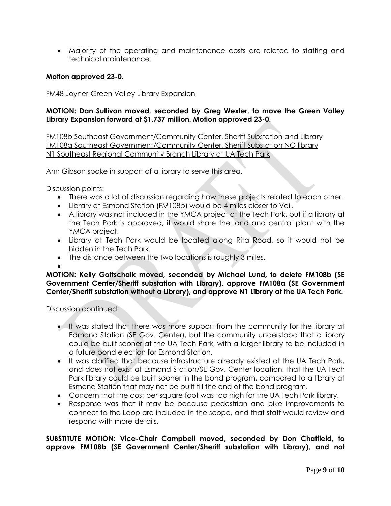Majority of the operating and maintenance costs are related to staffing and technical maintenance.

#### **Motion approved 23-0.**

#### FM48 Joyner-Green Valley Library Expansion

## **MOTION: Dan Sullivan moved, seconded by Greg Wexler, to move the Green Valley Library Expansion forward at \$1.737 million. Motion approved 23-0.**

FM108b Southeast Government/Community Center, Sheriff Substation and Library FM108a Southeast Government/Community Center, Sheriff Substation NO library N1 Southeast Regional Community Branch Library at UA Tech Park

Ann Gibson spoke in support of a library to serve this area.

Discussion points:

- There was a lot of discussion regarding how these projects related to each other.
- Library at Esmond Station (FM108b) would be 4 miles closer to Vail.
- A library was not included in the YMCA project at the Tech Park, but if a library at the Tech Park is approved, it would share the land and central plant with the YMCA project.
- Library at Tech Park would be located along Rita Road, so it would not be hidden in the Tech Park.
- The distance between the two locations is roughly 3 miles.

 $\bullet$ 

**MOTION: Kelly Gottschalk moved, seconded by Michael Lund, to delete FM108b (SE Government Center/Sheriff substation with Library), approve FM108a (SE Government Center/Sheriff substation without a Library), and approve N1 Library at the UA Tech Park.**

Discussion continued:

- It was stated that there was more support from the community for the library at Edmond Station (SE Gov. Center), but the community understood that a library could be built sooner at the UA Tech Park, with a larger library to be included in a future bond election for Esmond Station.
- It was clarified that because infrastructure already existed at the UA Tech Park, and does not exist at Esmond Station/SE Gov. Center location, that the UA Tech Park library could be built sooner in the bond program, compared to a library at Esmond Station that may not be built till the end of the bond program.
- Concern that the cost per square foot was too high for the UA Tech Park library.
- Response was that it may be because pedestrian and bike improvements to connect to the Loop are included in the scope, and that staff would review and respond with more details.

**SUBSTITUTE MOTION: Vice-Chair Campbell moved, seconded by Don Chatfield, to approve FM108b (SE Government Center/Sheriff substation with Library), and not**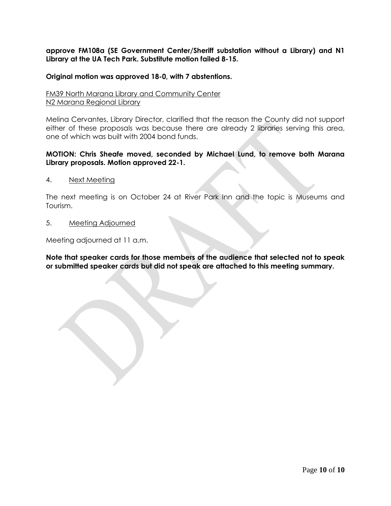**approve FM108a (SE Government Center/Sheriff substation without a Library) and N1 Library at the UA Tech Park. Substitute motion failed 8-15.**

### **Original motion was approved 18-0, with 7 abstentions.**

FM39 North Marana Library and Community Center N2 Marana Regional Library

Melina Cervantes, Library Director, clarified that the reason the County did not support either of these proposals was because there are already 2 libraries serving this area, one of which was built with 2004 bond funds.

### **MOTION: Chris Sheafe moved, seconded by Michael Lund, to remove both Marana Library proposals. Motion approved 22-1.**

4. Next Meeting

The next meeting is on October 24 at River Park Inn and the topic is Museums and Tourism.

5. Meeting Adjourned

Meeting adjourned at 11 a.m.

**Note that speaker cards for those members of the audience that selected not to speak or submitted speaker cards but did not speak are attached to this meeting summary.**